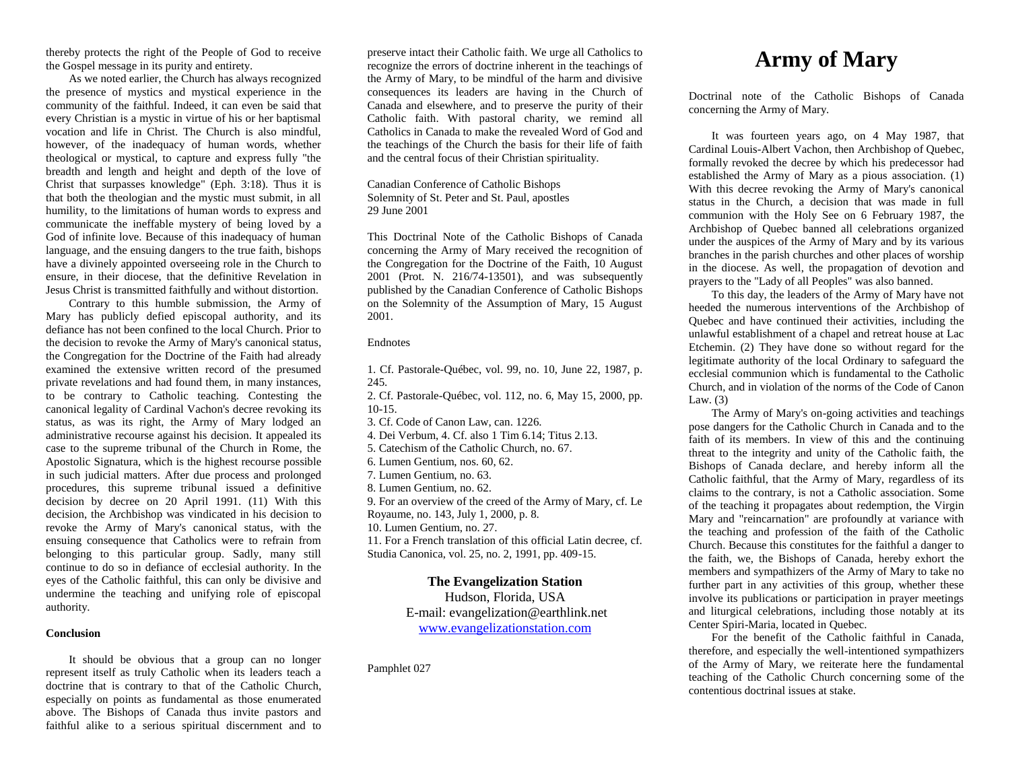thereby protects the right of the People of God to receive the Gospel message in its purity and entirety.

As we noted earlier, the Church has always recognized the presence of mystics and mystical experience in the community of the faithful. Indeed, it can even be said that every Christian is a mystic in virtue of his or her baptismal vocation and life in Christ. The Church is also mindful, however, of the inadequacy of human words, whether theological or mystical, to capture and express fully "the breadth and length and height and depth of the love of Christ that surpasses knowledge" (Eph. 3:18). Thus it is that both the theologian and the mystic must submit, in all humility, to the limitations of human words to express and communicate the ineffable mystery of being loved by a God of infinite love. Because of this inadequacy of human language, and the ensuing dangers to the true faith, bishops have a divinely appointed overseeing role in the Church to ensure, in their diocese, that the definitive Revelation in Jesus Christ is transmitted faithfully and without distortion.

Contrary to this humble submission, the Army of Mary has publicly defied episcopal authority, and its defiance has not been confined to the local Church. Prior to the decision to revoke the Army of Mary's canonical status, the Congregation for the Doctrine of the Faith had already examined the extensive written record of the presumed private revelations and had found them, in many instances, to be contrary to Catholic teaching. Contesting the canonical legality of Cardinal Vachon's decree revoking its status, as was its right, the Army of Mary lodged an administrative recourse against his decision. It appealed its case to the supreme tribunal of the Church in Rome, the Apostolic Signatura, which is the highest recourse possible in such judicial matters. After due process and prolonged procedures, this supreme tribunal issued a definitive decision by decree on 20 April 1991. (11) With this decision, the Archbishop was vindicated in his decision to revoke the Army of Mary's canonical status, with the ensuing consequence that Catholics were to refrain from belonging to this particular group. Sadly, many still continue to do so in defiance of ecclesial authority. In the eyes of the Catholic faithful, this can only be divisive and undermine the teaching and unifying role of episcopal authority.

#### **Conclusion**

It should be obvious that a group can no longer represent itself as truly Catholic when its leaders teach a doctrine that is contrary to that of the Catholic Church, especially on points as fundamental as those enumerated above. The Bishops of Canada thus invite pastors and faithful alike to a serious spiritual discernment and to preserve intact their Catholic faith. We urge all Catholics to recognize the errors of doctrine inherent in the teachings of the Army of Mary, to be mindful of the harm and divisive consequences its leaders are having in the Church of Canada and elsewhere, and to preserve the purity of their Catholic faith. With pastoral charity, we remind all Catholics in Canada to make the revealed Word of God and the teachings of the Church the basis for their life of faith and the central focus of their Christian spirituality.

# Canadian Conference of Catholic Bishops Solemnity of St. Peter and St. Paul, apostles 29 June 2001

This Doctrinal Note of the Catholic Bishops of Canada concerning the Army of Mary received the recognition of the Congregation for the Doctrine of the Faith, 10 August 2001 (Prot. N. 216/74-13501), and was subsequently published by the Canadian Conference of Catholic Bishops on the Solemnity of the Assumption of Mary, 15 August 2001.

### Endnotes

1. Cf. Pastorale-Québec, vol. 99, no. 10, June 22, 1987, p. 245.

2. Cf. Pastorale-Québec, vol. 112, no. 6, May 15, 2000, pp. 10-15.

3. Cf. Code of Canon Law, can. 1226.

4. Dei Verbum, 4. Cf. also 1 Tim 6.14; Titus 2.13.

5. Catechism of the Catholic Church, no. 67.

6. Lumen Gentium, nos. 60, 62.

7. Lumen Gentium, no. 63.

8. Lumen Gentium, no. 62.

9. For an overview of the creed of the Army of Mary, cf. Le

Royaume, no. 143, July 1, 2000, p. 8.

10. Lumen Gentium, no. 27.

11. For a French translation of this official Latin decree, cf. Studia Canonica, vol. 25, no. 2, 1991, pp. 409-15.

# **The Evangelization Station**

Hudson, Florida, USA E-mail: evangelization@earthlink.net [www.evangelizationstation.com](http://www.pjpiisoe.org/)

Pamphlet 027

# **Army of Mary**

Doctrinal note of the Catholic Bishops of Canada concerning the Army of Mary.

It was fourteen years ago, on 4 May 1987, that Cardinal Louis-Albert Vachon, then Archbishop of Quebec, formally revoked the decree by which his predecessor had established the Army of Mary as a pious association. (1) With this decree revoking the Army of Mary's canonical status in the Church, a decision that was made in full communion with the Holy See on 6 February 1987, the Archbishop of Quebec banned all celebrations organized under the auspices of the Army of Mary and by its various branches in the parish churches and other places of worship in the diocese. As well, the propagation of devotion and prayers to the "Lady of all Peoples" was also banned.

To this day, the leaders of the Army of Mary have not heeded the numerous interventions of the Archbishop of Quebec and have continued their activities, including the unlawful establishment of a chapel and retreat house at Lac Etchemin. (2) They have done so without regard for the legitimate authority of the local Ordinary to safeguard the ecclesial communion which is fundamental to the Catholic Church, and in violation of the norms of the Code of Canon Law.  $(3)$ 

The Army of Mary's on-going activities and teachings pose dangers for the Catholic Church in Canada and to the faith of its members. In view of this and the continuing threat to the integrity and unity of the Catholic faith, the Bishops of Canada declare, and hereby inform all the Catholic faithful, that the Army of Mary, regardless of its claims to the contrary, is not a Catholic association. Some of the teaching it propagates about redemption, the Virgin Mary and "reincarnation" are profoundly at variance with the teaching and profession of the faith of the Catholic Church. Because this constitutes for the faithful a danger to the faith, we, the Bishops of Canada, hereby exhort the members and sympathizers of the Army of Mary to take no further part in any activities of this group, whether these involve its publications or participation in prayer meetings and liturgical celebrations, including those notably at its Center Spiri-Maria, located in Quebec.

For the benefit of the Catholic faithful in Canada, therefore, and especially the well-intentioned sympathizers of the Army of Mary, we reiterate here the fundamental teaching of the Catholic Church concerning some of the contentious doctrinal issues at stake.